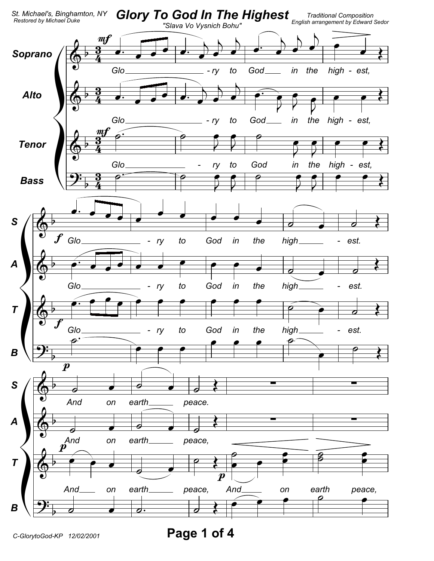

Page 1 of 4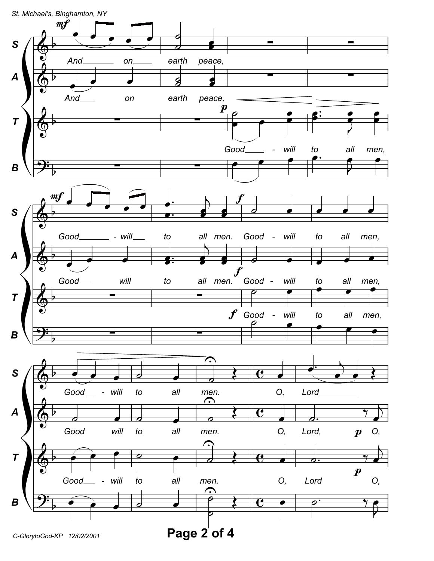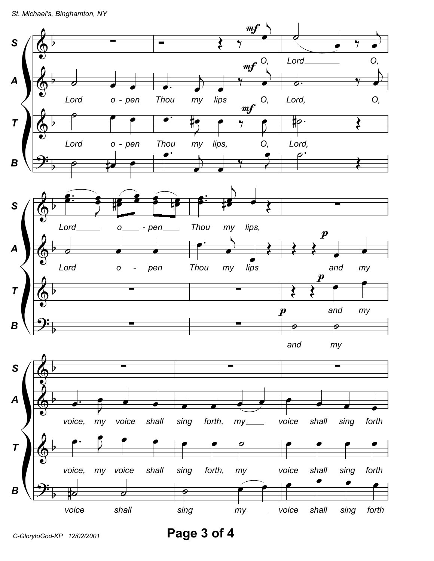

Page 3 of 4